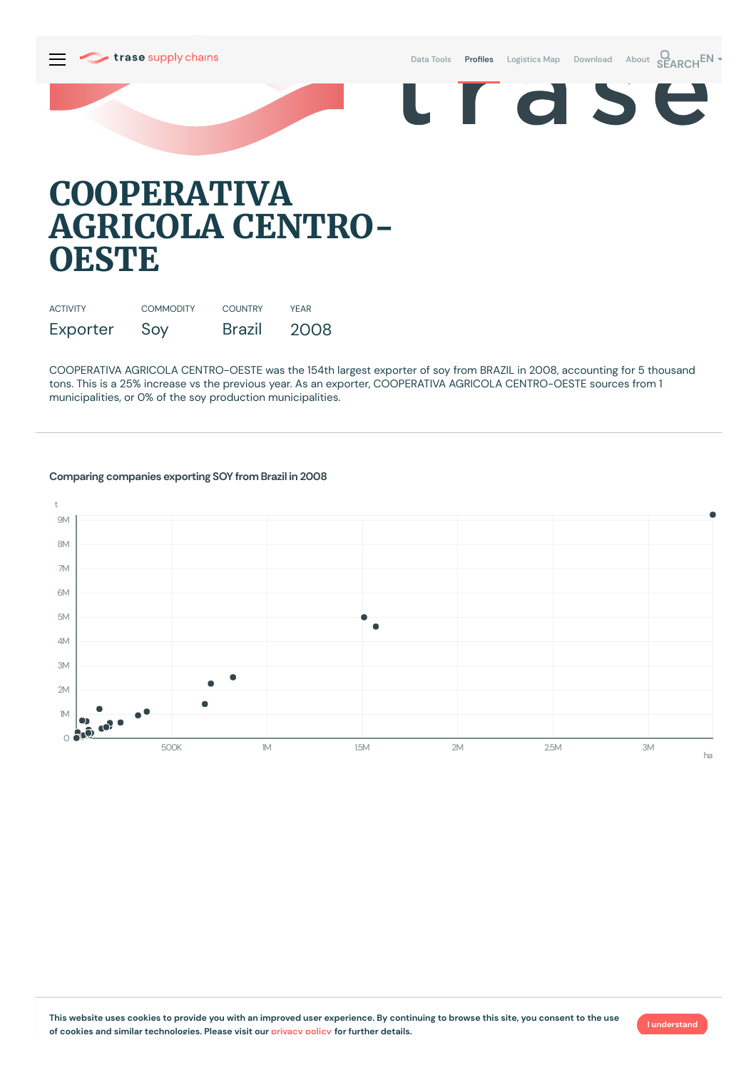Data [Tools](https://supplychains.trase.earth/explore) **Profiles** [Logistics](https://supplychains.trase.earth/logistics-map) Map [Download](https://supplychains.trase.earth/data) [About](https://supplychains.trase.earth/about) **SEARCH<sup>EN</sup>** 

 $\blacksquare$ 

r d S



| <b>ACTIVITY</b> | <b>COMMODITY</b> | <b>COUNTRY</b> | YFAR |
|-----------------|------------------|----------------|------|
| Exporter        | Soy              | <b>Brazil</b>  | 2008 |

COOPERATIVA AGRICOLA CENTRO-OESTE was the 154th largest exporter of soy from BRAZIL in 2008, accounting for 5 thousand tons. This is a 25% increase vs the previous year. As an exporter, COOPERATIVA AGRICOLA CENTRO-OESTE sources from 1 municipalities, or 0% of the soy production municipalities.



## **Comparing companies exporting SOY from Brazil in 2008**